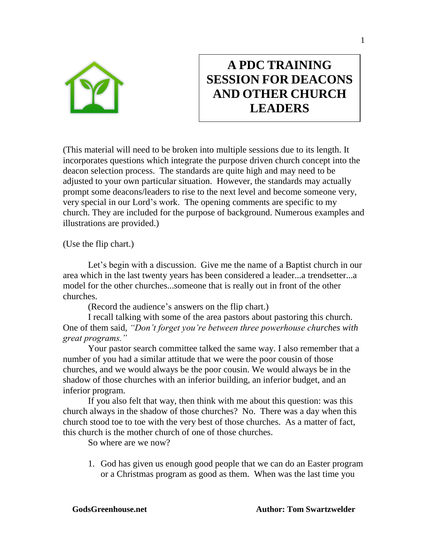

# **A PDC TRAINING SESSION FOR DEACONS AND OTHER CHURCH LEADERS**

(This material will need to be broken into multiple sessions due to its length. It incorporates questions which integrate the purpose driven church concept into the deacon selection process. The standards are quite high and may need to be adjusted to your own particular situation. However, the standards may actually prompt some deacons/leaders to rise to the next level and become someone very, very special in our Lord's work. The opening comments are specific to my church. They are included for the purpose of background. Numerous examples and illustrations are provided.)

(Use the flip chart.)

Let's begin with a discussion. Give me the name of a Baptist church in our area which in the last twenty years has been considered a leader...a trendsetter...a model for the other churches...someone that is really out in front of the other churches.

(Record the audience's answers on the flip chart.)

I recall talking with some of the area pastors about pastoring this church. One of them said, *"Don't forget you're between three powerhouse churches with great programs."*

Your pastor search committee talked the same way. I also remember that a number of you had a similar attitude that we were the poor cousin of those churches, and we would always be the poor cousin. We would always be in the shadow of those churches with an inferior building, an inferior budget, and an inferior program.

If you also felt that way, then think with me about this question: was this church always in the shadow of those churches? No. There was a day when this church stood toe to toe with the very best of those churches. As a matter of fact, this church is the mother church of one of those churches.

So where are we now?

1. God has given us enough good people that we can do an Easter program or a Christmas program as good as them. When was the last time you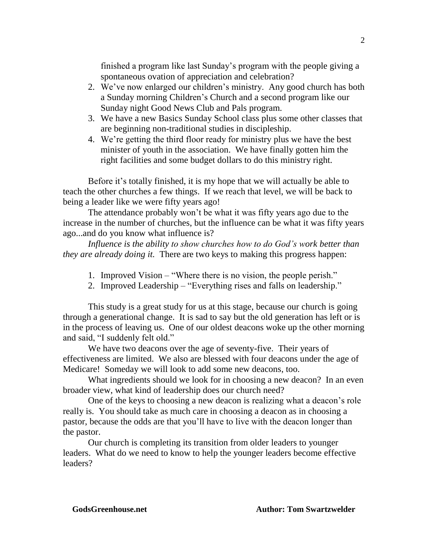finished a program like last Sunday's program with the people giving a spontaneous ovation of appreciation and celebration?

- 2. We've now enlarged our children's ministry. Any good church has both a Sunday morning Children's Church and a second program like our Sunday night Good News Club and Pals program.
- 3. We have a new Basics Sunday School class plus some other classes that are beginning non-traditional studies in discipleship.
- 4. We're getting the third floor ready for ministry plus we have the best minister of youth in the association. We have finally gotten him the right facilities and some budget dollars to do this ministry right.

Before it's totally finished, it is my hope that we will actually be able to teach the other churches a few things. If we reach that level, we will be back to being a leader like we were fifty years ago!

The attendance probably won't be what it was fifty years ago due to the increase in the number of churches, but the influence can be what it was fifty years ago...and do you know what influence is?

*Influence is the ability to show churches how to do God's work better than they are already doing it.* There are two keys to making this progress happen:

- 1. Improved Vision "Where there is no vision, the people perish."
- 2. Improved Leadership "Everything rises and falls on leadership."

This study is a great study for us at this stage, because our church is going through a generational change. It is sad to say but the old generation has left or is in the process of leaving us. One of our oldest deacons woke up the other morning and said, "I suddenly felt old."

We have two deacons over the age of seventy-five. Their years of effectiveness are limited. We also are blessed with four deacons under the age of Medicare! Someday we will look to add some new deacons, too.

What ingredients should we look for in choosing a new deacon? In an even broader view, what kind of leadership does our church need?

One of the keys to choosing a new deacon is realizing what a deacon's role really is. You should take as much care in choosing a deacon as in choosing a pastor, because the odds are that you'll have to live with the deacon longer than the pastor.

Our church is completing its transition from older leaders to younger leaders. What do we need to know to help the younger leaders become effective leaders?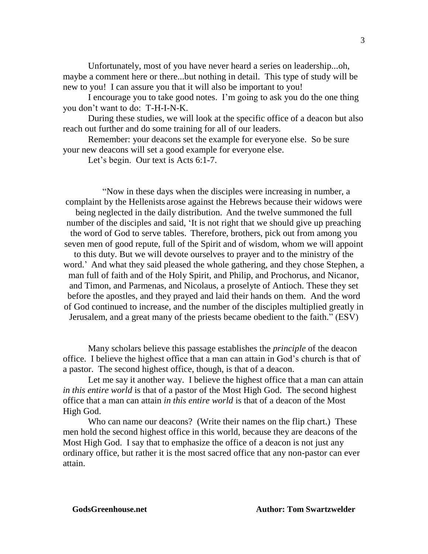Unfortunately, most of you have never heard a series on leadership...oh, maybe a comment here or there...but nothing in detail. This type of study will be new to you! I can assure you that it will also be important to you!

I encourage you to take good notes. I'm going to ask you do the one thing you don't want to do: T-H-I-N-K.

During these studies, we will look at the specific office of a deacon but also reach out further and do some training for all of our leaders.

Remember: your deacons set the example for everyone else. So be sure your new deacons will set a good example for everyone else.

Let's begin. Our text is Acts 6:1-7.

"Now in these days when the disciples were increasing in number, a complaint by the Hellenists arose against the Hebrews because their widows were being neglected in the daily distribution. And the twelve summoned the full number of the disciples and said, 'It is not right that we should give up preaching the word of God to serve tables. Therefore, brothers, pick out from among you seven men of good repute, full of the Spirit and of wisdom, whom we will appoint to this duty. But we will devote ourselves to prayer and to the ministry of the word.' And what they said pleased the whole gathering, and they chose Stephen, a man full of faith and of the Holy Spirit, and Philip, and Prochorus, and Nicanor, and Timon, and Parmenas, and Nicolaus, a proselyte of Antioch. These they set before the apostles, and they prayed and laid their hands on them. And the word of God continued to increase, and the number of the disciples multiplied greatly in Jerusalem, and a great many of the priests became obedient to the faith." (ESV)

Many scholars believe this passage establishes the *principle* of the deacon office. I believe the highest office that a man can attain in God's church is that of a pastor. The second highest office, though, is that of a deacon.

Let me say it another way. I believe the highest office that a man can attain *in this entire world* is that of a pastor of the Most High God. The second highest office that a man can attain *in this entire world* is that of a deacon of the Most High God.

Who can name our deacons? (Write their names on the flip chart.) These men hold the second highest office in this world, because they are deacons of the Most High God. I say that to emphasize the office of a deacon is not just any ordinary office, but rather it is the most sacred office that any non-pastor can ever attain.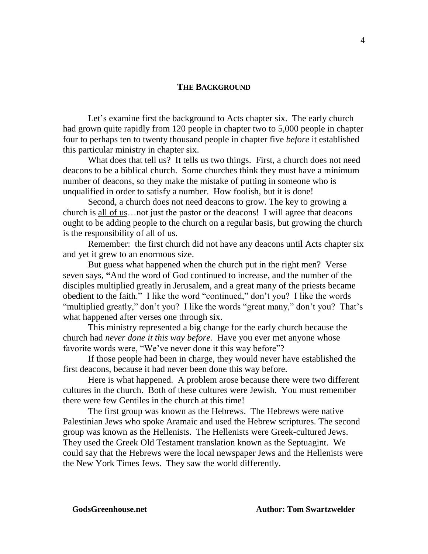#### **THE BACKGROUND**

Let's examine first the background to Acts chapter six. The early church had grown quite rapidly from 120 people in chapter two to 5,000 people in chapter four to perhaps ten to twenty thousand people in chapter five *before* it established this particular ministry in chapter six.

What does that tell us? It tells us two things. First, a church does not need deacons to be a biblical church. Some churches think they must have a minimum number of deacons, so they make the mistake of putting in someone who is unqualified in order to satisfy a number. How foolish, but it is done!

Second, a church does not need deacons to grow. The key to growing a church is all of us…not just the pastor or the deacons! I will agree that deacons ought to be adding people to the church on a regular basis, but growing the church is the responsibility of all of us.

Remember: the first church did not have any deacons until Acts chapter six and yet it grew to an enormous size.

But guess what happened when the church put in the right men? Verse seven says, **"**And the word of God continued to increase, and the number of the disciples multiplied greatly in Jerusalem, and a great many of the priests became obedient to the faith." I like the word "continued," don't you? I like the words "multiplied greatly," don't you? I like the words "great many," don't you? That's what happened after verses one through six.

This ministry represented a big change for the early church because the church had *never done it this way before.* Have you ever met anyone whose favorite words were, "We've never done it this way before"?

If those people had been in charge, they would never have established the first deacons, because it had never been done this way before.

Here is what happened. A problem arose because there were two different cultures in the church. Both of these cultures were Jewish. You must remember there were few Gentiles in the church at this time!

The first group was known as the Hebrews. The Hebrews were native Palestinian Jews who spoke Aramaic and used the Hebrew scriptures. The second group was known as the Hellenists. The Hellenists were Greek-cultured Jews. They used the Greek Old Testament translation known as the Septuagint. We could say that the Hebrews were the local newspaper Jews and the Hellenists were the New York Times Jews. They saw the world differently.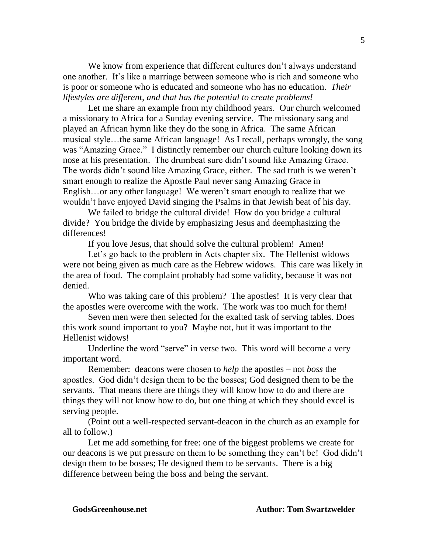We know from experience that different cultures don't always understand one another. It's like a marriage between someone who is rich and someone who is poor or someone who is educated and someone who has no education. *Their lifestyles are different, and that has the potential to create problems!* 

Let me share an example from my childhood years. Our church welcomed a missionary to Africa for a Sunday evening service. The missionary sang and played an African hymn like they do the song in Africa. The same African musical style…the same African language! As I recall, perhaps wrongly, the song was "Amazing Grace." I distinctly remember our church culture looking down its nose at his presentation. The drumbeat sure didn't sound like Amazing Grace. The words didn't sound like Amazing Grace, either. The sad truth is we weren't smart enough to realize the Apostle Paul never sang Amazing Grace in English…or any other language! We weren't smart enough to realize that we wouldn't have enjoyed David singing the Psalms in that Jewish beat of his day.

We failed to bridge the cultural divide! How do you bridge a cultural divide? You bridge the divide by emphasizing Jesus and deemphasizing the differences!

If you love Jesus, that should solve the cultural problem! Amen!

Let's go back to the problem in Acts chapter six. The Hellenist widows were not being given as much care as the Hebrew widows. This care was likely in the area of food. The complaint probably had some validity, because it was not denied.

Who was taking care of this problem? The apostles! It is very clear that the apostles were overcome with the work. The work was too much for them!

Seven men were then selected for the exalted task of serving tables. Does this work sound important to you? Maybe not, but it was important to the Hellenist widows!

Underline the word "serve" in verse two. This word will become a very important word.

Remember: deacons were chosen to *help* the apostles – not *boss* the apostles. God didn't design them to be the bosses; God designed them to be the servants. That means there are things they will know how to do and there are things they will not know how to do, but one thing at which they should excel is serving people.

(Point out a well-respected servant-deacon in the church as an example for all to follow.)

Let me add something for free: one of the biggest problems we create for our deacons is we put pressure on them to be something they can't be! God didn't design them to be bosses; He designed them to be servants. There is a big difference between being the boss and being the servant.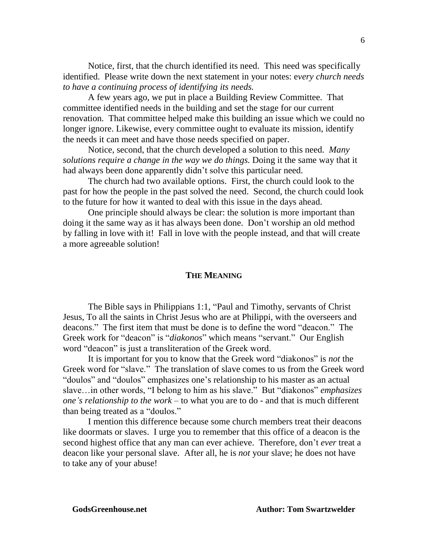Notice, first, that the church identified its need. This need was specifically identified. Please write down the next statement in your notes: e*very church needs to have a continuing process of identifying its needs.* 

A few years ago, we put in place a Building Review Committee. That committee identified needs in the building and set the stage for our current renovation. That committee helped make this building an issue which we could no longer ignore. Likewise, every committee ought to evaluate its mission, identify the needs it can meet and have those needs specified on paper.

Notice, second, that the church developed a solution to this need. *Many solutions require a change in the way we do things.* Doing it the same way that it had always been done apparently didn't solve this particular need.

The church had two available options. First, the church could look to the past for how the people in the past solved the need. Second, the church could look to the future for how it wanted to deal with this issue in the days ahead.

One principle should always be clear: the solution is more important than doing it the same way as it has always been done. Don't worship an old method by falling in love with it! Fall in love with the people instead, and that will create a more agreeable solution!

#### **THE MEANING**

The Bible says in Philippians 1:1, "Paul and Timothy, servants of Christ Jesus, To all the saints in Christ Jesus who are at Philippi, with the overseers and deacons." The first item that must be done is to define the word "deacon." The Greek work for "deacon" is "*diakonos*" which means "servant." Our English word "deacon" is just a transliteration of the Greek word.

It is important for you to know that the Greek word "diakonos" is *not* the Greek word for "slave." The translation of slave comes to us from the Greek word "doulos" and "doulos" emphasizes one's relationship to his master as an actual slave…in other words, "I belong to him as his slave." But "diakonos" *emphasizes one's relationship to the work* – to what you are to do - and that is much different than being treated as a "doulos."

I mention this difference because some church members treat their deacons like doormats or slaves. I urge you to remember that this office of a deacon is the second highest office that any man can ever achieve. Therefore, don't *ever* treat a deacon like your personal slave. After all, he is *not* your slave; he does not have to take any of your abuse!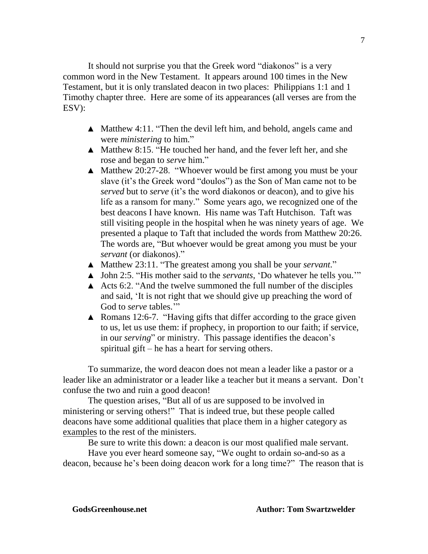It should not surprise you that the Greek word "diakonos" is a very common word in the New Testament. It appears around 100 times in the New Testament, but it is only translated deacon in two places: Philippians 1:1 and 1 Timothy chapter three. Here are some of its appearances (all verses are from the ESV):

- ▲ Matthew 4:11. "Then the devil left him, and behold, angels came and were *ministering* to him."
- ▲ Matthew 8:15. "He touched her hand, and the fever left her, and she rose and began to *serve* him."
- ▲ Matthew 20:27-28. "Whoever would be first among you must be your slave (it's the Greek word "doulos") as the Son of Man came not to be *served* but to *serve* (it's the word diakonos or deacon), and to give his life as a ransom for many." Some years ago, we recognized one of the best deacons I have known. His name was Taft Hutchison. Taft was still visiting people in the hospital when he was ninety years of age. We presented a plaque to Taft that included the words from Matthew 20:26. The words are, "But whoever would be great among you must be your *servant* (or diakonos)."
- ▲ Matthew 23:11. "The greatest among you shall be your *servant*."
- ▲ John 2:5. "His mother said to the *servants*, 'Do whatever he tells you.'"
- A Acts 6:2. "And the twelve summoned the full number of the disciples and said, 'It is not right that we should give up preaching the word of God to *serve* tables."
- ▲ Romans 12:6-7. "Having gifts that differ according to the grace given to us, let us use them: if prophecy, in proportion to our faith; if service, in our *serving*" or ministry. This passage identifies the deacon's spiritual gift – he has a heart for serving others.

To summarize, the word deacon does not mean a leader like a pastor or a leader like an administrator or a leader like a teacher but it means a servant. Don't confuse the two and ruin a good deacon!

The question arises, "But all of us are supposed to be involved in ministering or serving others!" That is indeed true, but these people called deacons have some additional qualities that place them in a higher category as examples to the rest of the ministers.

Be sure to write this down: a deacon is our most qualified male servant.

Have you ever heard someone say, "We ought to ordain so-and-so as a deacon, because he's been doing deacon work for a long time?" The reason that is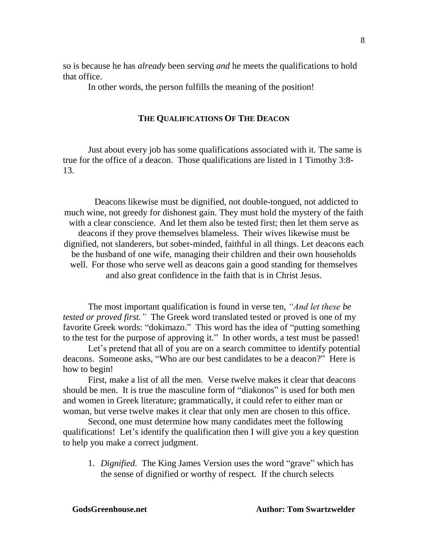so is because he has *already* been serving *and* he meets the qualifications to hold that office.

In other words, the person fulfills the meaning of the position!

### **THE QUALIFICATIONS OF THE DEACON**

Just about every job has some qualifications associated with it. The same is true for the office of a deacon. Those qualifications are listed in 1 Timothy 3:8- 13.

Deacons likewise must be dignified, not double-tongued, not addicted to much wine, not greedy for dishonest gain. They must hold the mystery of the faith with a clear conscience. And let them also be tested first; then let them serve as deacons if they prove themselves blameless. Their wives likewise must be dignified, not slanderers, but sober-minded, faithful in all things. Let deacons each be the husband of one wife, managing their children and their own households well. For those who serve well as deacons gain a good standing for themselves and also great confidence in the faith that is in Christ Jesus.

The most important qualification is found in verse ten, *"And let these be tested or proved first."* The Greek word translated tested or proved is one of my favorite Greek words: "dokimazo." This word has the idea of "putting something to the test for the purpose of approving it." In other words, a test must be passed!

Let's pretend that all of you are on a search committee to identify potential deacons. Someone asks, "Who are our best candidates to be a deacon?" Here is how to begin!

First, make a list of all the men. Verse twelve makes it clear that deacons should be men. It is true the masculine form of "diakonos" is used for both men and women in Greek literature; grammatically, it could refer to either man or woman, but verse twelve makes it clear that only men are chosen to this office.

Second, one must determine how many candidates meet the following qualifications! Let's identify the qualification then I will give you a key question to help you make a correct judgment.

1. *Dignified*.The King James Version uses the word "grave" which has the sense of dignified or worthy of respect. If the church selects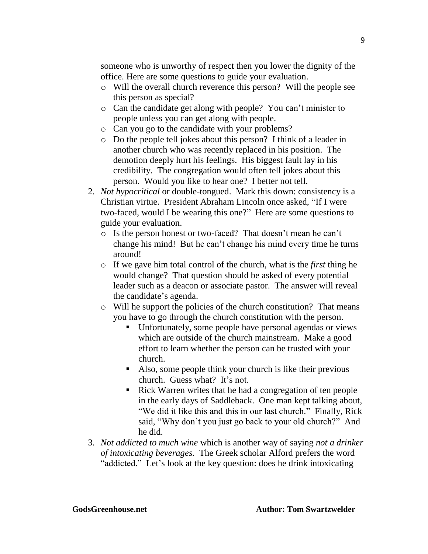someone who is unworthy of respect then you lower the dignity of the office. Here are some questions to guide your evaluation.

- o Will the overall church reverence this person? Will the people see this person as special?
- o Can the candidate get along with people? You can't minister to people unless you can get along with people.
- o Can you go to the candidate with your problems?
- o Do the people tell jokes about this person? I think of a leader in another church who was recently replaced in his position. The demotion deeply hurt his feelings. His biggest fault lay in his credibility. The congregation would often tell jokes about this person. Would you like to hear one? I better not tell.
- 2. *Not hypocritical* or double-tongued. Mark this down: consistency is a Christian virtue. President Abraham Lincoln once asked, "If I were two-faced, would I be wearing this one?" Here are some questions to guide your evaluation.
	- o Is the person honest or two-faced? That doesn't mean he can't change his mind! But he can't change his mind every time he turns around!
	- o If we gave him total control of the church, what is the *first* thing he would change? That question should be asked of every potential leader such as a deacon or associate pastor. The answer will reveal the candidate's agenda.
	- o Will he support the policies of the church constitution? That means you have to go through the church constitution with the person.
		- Unfortunately, some people have personal agendas or views which are outside of the church mainstream. Make a good effort to learn whether the person can be trusted with your church.
		- Also, some people think your church is like their previous church. Guess what? It's not.
		- Rick Warren writes that he had a congregation of ten people in the early days of Saddleback. One man kept talking about, "We did it like this and this in our last church." Finally, Rick said, "Why don't you just go back to your old church?" And he did.
- 3. *Not addicted to much wine* which is another way of saying *not a drinker of intoxicating beverages.* The Greek scholar Alford prefers the word "addicted." Let's look at the key question: does he drink intoxicating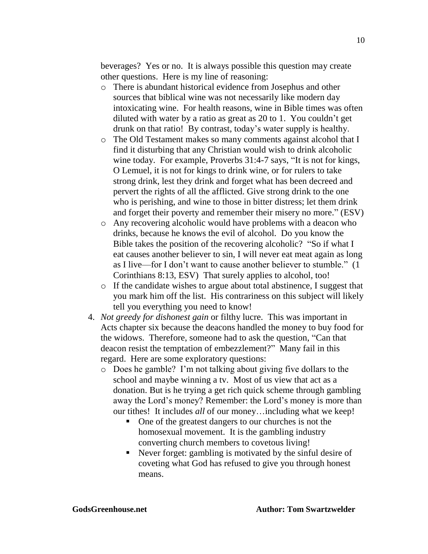beverages? Yes or no. It is always possible this question may create other questions. Here is my line of reasoning:

- o There is abundant historical evidence from Josephus and other sources that biblical wine was not necessarily like modern day intoxicating wine. For health reasons, wine in Bible times was often diluted with water by a ratio as great as 20 to 1. You couldn't get drunk on that ratio! By contrast, today's water supply is healthy.
- o The Old Testament makes so many comments against alcohol that I find it disturbing that any Christian would wish to drink alcoholic wine today. For example, Proverbs 31:4-7 says, "It is not for kings, O Lemuel, it is not for kings to drink wine, or for rulers to take strong drink, lest they drink and forget what has been decreed and pervert the rights of all the afflicted. Give strong drink to the one who is perishing, and wine to those in bitter distress; let them drink and forget their poverty and remember their misery no more." (ESV)
- o Any recovering alcoholic would have problems with a deacon who drinks, because he knows the evil of alcohol. Do you know the Bible takes the position of the recovering alcoholic? "So if what I eat causes another believer to sin, I will never eat meat again as long as I live—for I don't want to cause another believer to stumble." (1 Corinthians 8:13, ESV) That surely applies to alcohol, too!
- o If the candidate wishes to argue about total abstinence, I suggest that you mark him off the list. His contrariness on this subject will likely tell you everything you need to know!
- 4. *Not greedy for dishonest gain* or filthy lucre. This was important in Acts chapter six because the deacons handled the money to buy food for the widows. Therefore, someone had to ask the question, "Can that deacon resist the temptation of embezzlement?" Many fail in this regard. Here are some exploratory questions:
	- o Does he gamble? I'm not talking about giving five dollars to the school and maybe winning a tv. Most of us view that act as a donation. But is he trying a get rich quick scheme through gambling away the Lord's money? Remember: the Lord's money is more than our tithes! It includes *all* of our money…including what we keep!
		- One of the greatest dangers to our churches is not the homosexual movement. It is the gambling industry converting church members to covetous living!
		- Never forget: gambling is motivated by the sinful desire of coveting what God has refused to give you through honest means.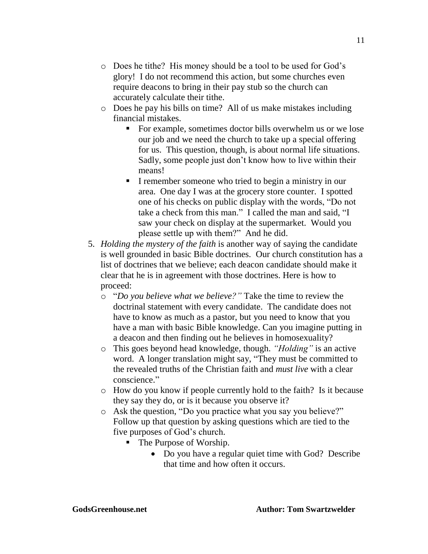- o Does he tithe? His money should be a tool to be used for God's glory! I do not recommend this action, but some churches even require deacons to bring in their pay stub so the church can accurately calculate their tithe.
- o Does he pay his bills on time? All of us make mistakes including financial mistakes.
	- For example, sometimes doctor bills overwhelm us or we lose our job and we need the church to take up a special offering for us. This question, though, is about normal life situations. Sadly, some people just don't know how to live within their means!
	- I remember someone who tried to begin a ministry in our area. One day I was at the grocery store counter. I spotted one of his checks on public display with the words, "Do not take a check from this man." I called the man and said, "I saw your check on display at the supermarket. Would you please settle up with them?"And he did.
- 5. *Holding the mystery of the faith* is another way of saying the candidate is well grounded in basic Bible doctrines. Our church constitution has a list of doctrines that we believe; each deacon candidate should make it clear that he is in agreement with those doctrines. Here is how to proceed:
	- o "*Do you believe what we believe?"* Take the time to review the doctrinal statement with every candidate. The candidate does not have to know as much as a pastor, but you need to know that you have a man with basic Bible knowledge. Can you imagine putting in a deacon and then finding out he believes in homosexuality?
	- o This goes beyond head knowledge, though. *"Holding"* is an active word. A longer translation might say, "They must be committed to the revealed truths of the Christian faith and *must live* with a clear conscience."
	- o How do you know if people currently hold to the faith? Is it because they say they do, or is it because you observe it?
	- o Ask the question, "Do you practice what you say you believe?" Follow up that question by asking questions which are tied to the five purposes of God's church.
		- The Purpose of Worship.
			- Do you have a regular quiet time with God? Describe that time and how often it occurs.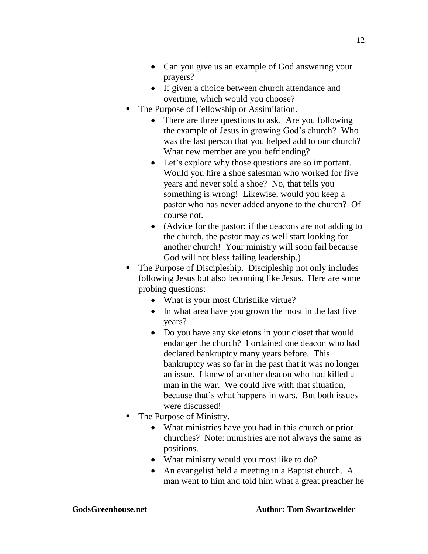- Can you give us an example of God answering your prayers?
- If given a choice between church attendance and overtime, which would you choose?
- The Purpose of Fellowship or Assimilation.
	- There are three questions to ask. Are you following the example of Jesus in growing God's church? Who was the last person that you helped add to our church? What new member are you befriending?
	- Let's explore why those questions are so important. Would you hire a shoe salesman who worked for five years and never sold a shoe? No, that tells you something is wrong! Likewise, would you keep a pastor who has never added anyone to the church? Of course not.
	- (Advice for the pastor: if the deacons are not adding to the church, the pastor may as well start looking for another church! Your ministry will soon fail because God will not bless failing leadership.)
- The Purpose of Discipleship. Discipleship not only includes following Jesus but also becoming like Jesus. Here are some probing questions:
	- What is your most Christlike virtue?
	- In what area have you grown the most in the last five years?
	- Do you have any skeletons in your closet that would endanger the church? I ordained one deacon who had declared bankruptcy many years before. This bankruptcy was so far in the past that it was no longer an issue. I knew of another deacon who had killed a man in the war. We could live with that situation, because that's what happens in wars. But both issues were discussed!
- The Purpose of Ministry.
	- What ministries have you had in this church or prior churches? Note: ministries are not always the same as positions.
	- What ministry would you most like to do?
	- An evangelist held a meeting in a Baptist church. A man went to him and told him what a great preacher he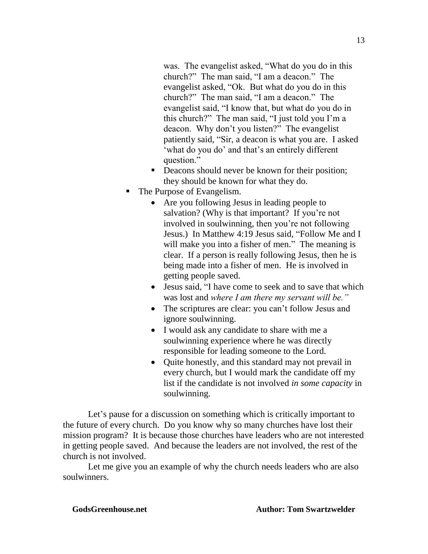was. The evangelist asked, "What do you do in this church?" The man said, "I am a deacon." The evangelist asked, "Ok. But what do you do in this church?" The man said, "I am a deacon." The evangelist said, "I know that, but what do you do in this church?" The man said, "I just told you I'm a deacon. Why don't you listen?" The evangelist patiently said, "Sir, a deacon is what you are. I asked 'what do you do' and that's an entirely different question."

- Deacons should never be known for their position; they should be known for what they do.
- The Purpose of Evangelism.
	- Are you following Jesus in leading people to salvation? (Why is that important? If you're not involved in soulwinning, then you're not following Jesus.) In Matthew 4:19 Jesus said, "Follow Me and I will make you into a fisher of men." The meaning is clear. If a person is really following Jesus, then he is being made into a fisher of men. He is involved in getting people saved.
	- Jesus said, "I have come to seek and to save that which was lost and *where I am there my servant will be."*
	- The scriptures are clear: you can't follow Jesus and ignore soulwinning.
	- I would ask any candidate to share with me a soulwinning experience where he was directly responsible for leading someone to the Lord.
	- Quite honestly, and this standard may not prevail in every church, but I would mark the candidate off my list if the candidate is not involved *in some capacity* in soulwinning*.*

Let's pause for a discussion on something which is critically important to the future of every church. Do you know why so many churches have lost their mission program? It is because those churches have leaders who are not interested in getting people saved. And because the leaders are not involved, the rest of the church is not involved.

Let me give you an example of why the church needs leaders who are also soulwinners.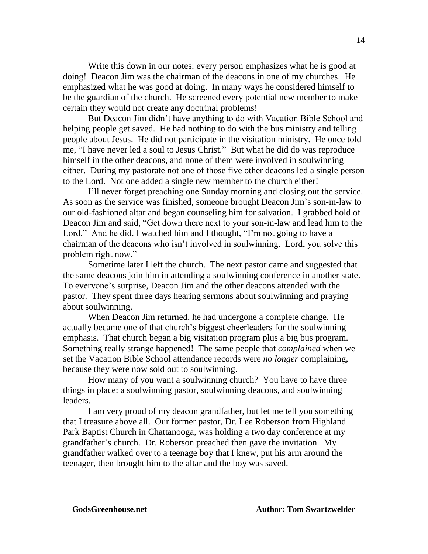Write this down in our notes: every person emphasizes what he is good at doing! Deacon Jim was the chairman of the deacons in one of my churches. He emphasized what he was good at doing. In many ways he considered himself to be the guardian of the church. He screened every potential new member to make certain they would not create any doctrinal problems!

But Deacon Jim didn't have anything to do with Vacation Bible School and helping people get saved. He had nothing to do with the bus ministry and telling people about Jesus. He did not participate in the visitation ministry. He once told me, "I have never led a soul to Jesus Christ." But what he did do was reproduce himself in the other deacons, and none of them were involved in soulwinning either. During my pastorate not one of those five other deacons led a single person to the Lord. Not one added a single new member to the church either!

I'll never forget preaching one Sunday morning and closing out the service. As soon as the service was finished, someone brought Deacon Jim's son-in-law to our old-fashioned altar and began counseling him for salvation. I grabbed hold of Deacon Jim and said, "Get down there next to your son-in-law and lead him to the Lord." And he did. I watched him and I thought, "I'm not going to have a chairman of the deacons who isn't involved in soulwinning. Lord, you solve this problem right now."

Sometime later I left the church. The next pastor came and suggested that the same deacons join him in attending a soulwinning conference in another state. To everyone's surprise, Deacon Jim and the other deacons attended with the pastor. They spent three days hearing sermons about soulwinning and praying about soulwinning.

When Deacon Jim returned, he had undergone a complete change. He actually became one of that church's biggest cheerleaders for the soulwinning emphasis. That church began a big visitation program plus a big bus program. Something really strange happened! The same people that *complained* when we set the Vacation Bible School attendance records were *no longer* complaining, because they were now sold out to soulwinning.

How many of you want a soulwinning church? You have to have three things in place: a soulwinning pastor, soulwinning deacons, and soulwinning leaders.

I am very proud of my deacon grandfather, but let me tell you something that I treasure above all. Our former pastor, Dr. Lee Roberson from Highland Park Baptist Church in Chattanooga, was holding a two day conference at my grandfather's church. Dr. Roberson preached then gave the invitation. My grandfather walked over to a teenage boy that I knew, put his arm around the teenager, then brought him to the altar and the boy was saved.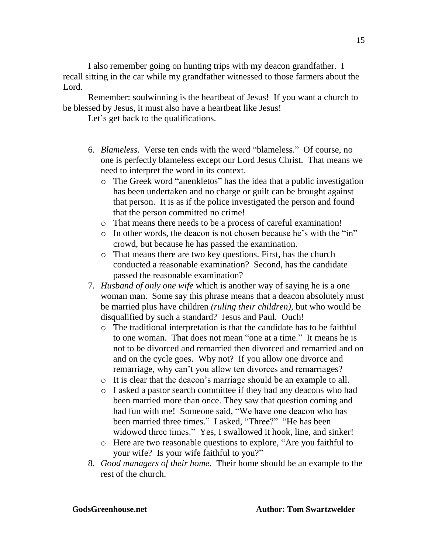I also remember going on hunting trips with my deacon grandfather. I recall sitting in the car while my grandfather witnessed to those farmers about the Lord.

Remember: soulwinning is the heartbeat of Jesus! If you want a church to be blessed by Jesus, it must also have a heartbeat like Jesus!

Let's get back to the qualifications.

- 6. *Blameless*. Verse ten ends with the word "blameless." Of course, no one is perfectly blameless except our Lord Jesus Christ. That means we need to interpret the word in its context.
	- o The Greek word "anenkletos" has the idea that a public investigation has been undertaken and no charge or guilt can be brought against that person. It is as if the police investigated the person and found that the person committed no crime!
	- o That means there needs to be a process of careful examination!
	- o In other words, the deacon is not chosen because he's with the "in" crowd, but because he has passed the examination.
	- o That means there are two key questions. First, has the church conducted a reasonable examination? Second, has the candidate passed the reasonable examination?
- 7. *Husband of only one wife* which is another way of saying he is a one woman man. Some say this phrase means that a deacon absolutely must be married plus have children *(ruling their children),* but who would be disqualified by such a standard? Jesus and Paul. Ouch!
	- o The traditional interpretation is that the candidate has to be faithful to one woman. That does not mean "one at a time." It means he is not to be divorced and remarried then divorced and remarried and on and on the cycle goes. Why not? If you allow one divorce and remarriage, why can't you allow ten divorces and remarriages?
	- o It is clear that the deacon's marriage should be an example to all.
	- o I asked a pastor search committee if they had any deacons who had been married more than once. They saw that question coming and had fun with me! Someone said, "We have one deacon who has been married three times." I asked, "Three?" "He has been widowed three times." Yes, I swallowed it hook, line, and sinker!
	- o Here are two reasonable questions to explore, "Are you faithful to your wife? Is your wife faithful to you?"
- 8. *Good managers of their home.* Their home should be an example to the rest of the church.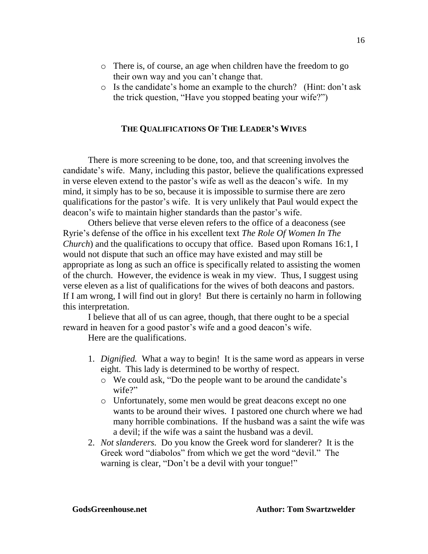- o There is, of course, an age when children have the freedom to go their own way and you can't change that.
- o Is the candidate's home an example to the church? (Hint: don't ask the trick question, "Have you stopped beating your wife?")

### **THE QUALIFICATIONS OF THE LEADER'S WIVES**

There is more screening to be done, too, and that screening involves the candidate's wife. Many, including this pastor, believe the qualifications expressed in verse eleven extend to the pastor's wife as well as the deacon's wife. In my mind, it simply has to be so, because it is impossible to surmise there are zero qualifications for the pastor's wife. It is very unlikely that Paul would expect the deacon's wife to maintain higher standards than the pastor's wife.

Others believe that verse eleven refers to the office of a deaconess (see Ryrie's defense of the office in his excellent text *The Role Of Women In The Church*) and the qualifications to occupy that office. Based upon Romans 16:1, I would not dispute that such an office may have existed and may still be appropriate as long as such an office is specifically related to assisting the women of the church. However, the evidence is weak in my view. Thus, I suggest using verse eleven as a list of qualifications for the wives of both deacons and pastors. If I am wrong, I will find out in glory! But there is certainly no harm in following this interpretation.

I believe that all of us can agree, though, that there ought to be a special reward in heaven for a good pastor's wife and a good deacon's wife.

Here are the qualifications.

- 1. *Dignified.* What a way to begin! It is the same word as appears in verse eight. This lady is determined to be worthy of respect.
	- o We could ask, "Do the people want to be around the candidate's wife?"
	- o Unfortunately, some men would be great deacons except no one wants to be around their wives. I pastored one church where we had many horrible combinations. If the husband was a saint the wife was a devil; if the wife was a saint the husband was a devil.
- 2. *Not slanderers.* Do you know the Greek word for slanderer? It is the Greek word "diabolos" from which we get the word "devil." The warning is clear, "Don't be a devil with your tongue!"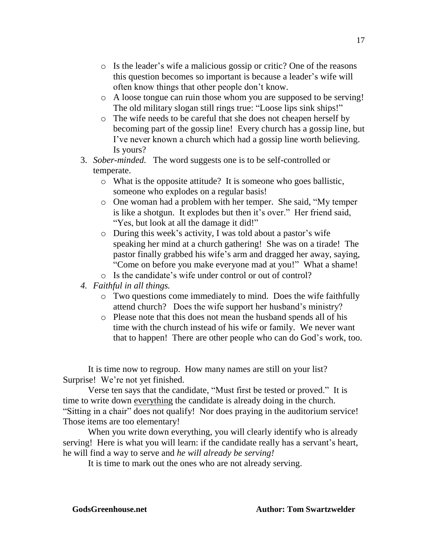- o Is the leader's wife a malicious gossip or critic? One of the reasons this question becomes so important is because a leader's wife will often know things that other people don't know.
- o A loose tongue can ruin those whom you are supposed to be serving! The old military slogan still rings true: "Loose lips sink ships!"
- o The wife needs to be careful that she does not cheapen herself by becoming part of the gossip line! Every church has a gossip line, but I've never known a church which had a gossip line worth believing. Is yours?
- 3. *Sober-minded.* The word suggests one is to be self-controlled or temperate.
	- o What is the opposite attitude? It is someone who goes ballistic, someone who explodes on a regular basis!
	- o One woman had a problem with her temper. She said, "My temper is like a shotgun. It explodes but then it's over." Her friend said, "Yes, but look at all the damage it did!"
	- o During this week's activity, I was told about a pastor's wife speaking her mind at a church gathering! She was on a tirade! The pastor finally grabbed his wife's arm and dragged her away, saying, "Come on before you make everyone mad at you!" What a shame!
	- o Is the candidate's wife under control or out of control?
- *4. Faithful in all things.* 
	- o Two questions come immediately to mind. Does the wife faithfully attend church? Does the wife support her husband's ministry?
	- o Please note that this does not mean the husband spends all of his time with the church instead of his wife or family. We never want that to happen! There are other people who can do God's work, too.

It is time now to regroup. How many names are still on your list? Surprise! We're not yet finished.

Verse ten says that the candidate, "Must first be tested or proved." It is time to write down everything the candidate is already doing in the church. "Sitting in a chair" does not qualify! Nor does praying in the auditorium service! Those items are too elementary!

When you write down everything, you will clearly identify who is already serving! Here is what you will learn: if the candidate really has a servant's heart, he will find a way to serve and *he will already be serving!*

It is time to mark out the ones who are not already serving.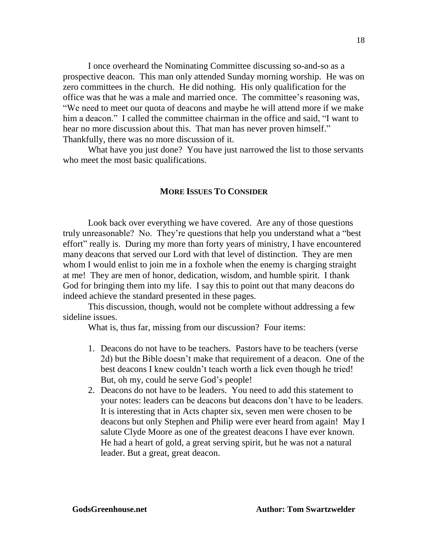I once overheard the Nominating Committee discussing so-and-so as a prospective deacon. This man only attended Sunday morning worship. He was on zero committees in the church. He did nothing. His only qualification for the office was that he was a male and married once. The committee's reasoning was, "We need to meet our quota of deacons and maybe he will attend more if we make him a deacon." I called the committee chairman in the office and said, "I want to hear no more discussion about this. That man has never proven himself." Thankfully, there was no more discussion of it.

What have you just done? You have just narrowed the list to those servants who meet the most basic qualifications.

## **MORE ISSUES TO CONSIDER**

Look back over everything we have covered. Are any of those questions truly unreasonable? No. They're questions that help you understand what a "best effort" really is. During my more than forty years of ministry, I have encountered many deacons that served our Lord with that level of distinction. They are men whom I would enlist to join me in a foxhole when the enemy is charging straight at me! They are men of honor, dedication, wisdom, and humble spirit. I thank God for bringing them into my life. I say this to point out that many deacons do indeed achieve the standard presented in these pages.

This discussion, though, would not be complete without addressing a few sideline issues.

What is, thus far, missing from our discussion? Four items:

- 1. Deacons do not have to be teachers. Pastors have to be teachers (verse 2d) but the Bible doesn't make that requirement of a deacon. One of the best deacons I knew couldn't teach worth a lick even though he tried! But, oh my, could he serve God's people!
- 2. Deacons do not have to be leaders. You need to add this statement to your notes: leaders can be deacons but deacons don't have to be leaders. It is interesting that in Acts chapter six, seven men were chosen to be deacons but only Stephen and Philip were ever heard from again! May I salute Clyde Moore as one of the greatest deacons I have ever known. He had a heart of gold, a great serving spirit, but he was not a natural leader. But a great, great deacon.